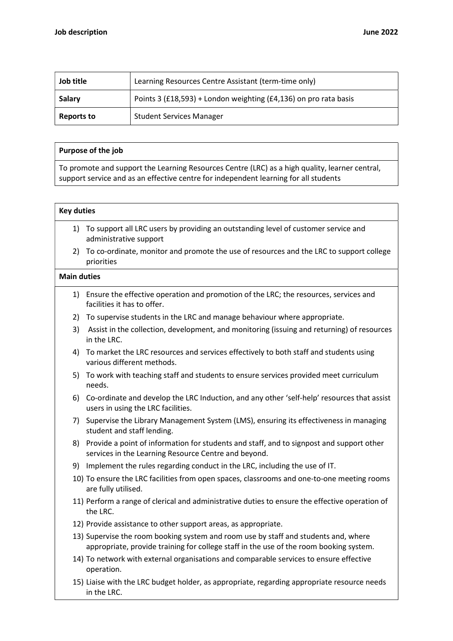| Job title         | Learning Resources Centre Assistant (term-time only)             |
|-------------------|------------------------------------------------------------------|
| Salary            | Points 3 (£18,593) + London weighting (£4,136) on pro rata basis |
| <b>Reports to</b> | <b>Student Services Manager</b>                                  |

## Purpose of the job

To promote and support the Learning Resources Centre (LRC) as a high quality, learner central, support service and as an effective centre for independent learning for all students

## Key duties

- 1) To support all LRC users by providing an outstanding level of customer service and administrative support
- 2) To co-ordinate, monitor and promote the use of resources and the LRC to support college priorities

## Main duties

- 1) Ensure the effective operation and promotion of the LRC; the resources, services and facilities it has to offer.
- 2) To supervise students in the LRC and manage behaviour where appropriate.
- 3) Assist in the collection, development, and monitoring (issuing and returning) of resources in the LRC.
- 4) To market the LRC resources and services effectively to both staff and students using various different methods.
- 5) To work with teaching staff and students to ensure services provided meet curriculum needs.
- 6) Co-ordinate and develop the LRC Induction, and any other 'self-help' resources that assist users in using the LRC facilities.
- 7) Supervise the Library Management System (LMS), ensuring its effectiveness in managing student and staff lending.
- 8) Provide a point of information for students and staff, and to signpost and support other services in the Learning Resource Centre and beyond.
- 9) Implement the rules regarding conduct in the LRC, including the use of IT.
- 10) To ensure the LRC facilities from open spaces, classrooms and one-to-one meeting rooms are fully utilised.
- 11) Perform a range of clerical and administrative duties to ensure the effective operation of the LRC.
- 12) Provide assistance to other support areas, as appropriate.
- 13) Supervise the room booking system and room use by staff and students and, where appropriate, provide training for college staff in the use of the room booking system.
- 14) To network with external organisations and comparable services to ensure effective operation.
- 15) Liaise with the LRC budget holder, as appropriate, regarding appropriate resource needs in the LRC.